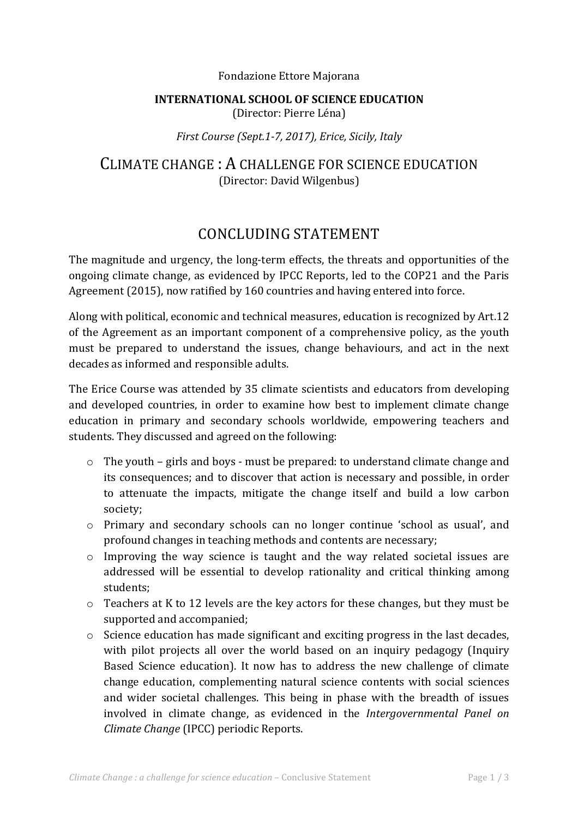#### Fondazione Ettore Majorana

### **INTERNATIONAL SCHOOL OF SCIENCE EDUCATION** (Director: Pierre Léna)

### *First Course (Sept.1-7, 2017), Erice, Sicily, Italy*

## CLIMATE CHANGE: A CHALLENGE FOR SCIENCE EDUCATION (Director: David Wilgenbus)

# CONCLUDING STATEMENT

The magnitude and urgency, the long-term effects, the threats and opportunities of the ongoing climate change, as evidenced by IPCC Reports, led to the COP21 and the Paris Agreement (2015), now ratified by 160 countries and having entered into force.

Along with political, economic and technical measures, education is recognized by Art.12 of the Agreement as an important component of a comprehensive policy, as the youth must be prepared to understand the issues, change behaviours, and act in the next decades as informed and responsible adults.

The Erice Course was attended by 35 climate scientists and educators from developing and developed countries, in order to examine how best to implement climate change education in primary and secondary schools worldwide, empowering teachers and students. They discussed and agreed on the following:

- $\circ$  The youth girls and boys must be prepared: to understand climate change and its consequences; and to discover that action is necessary and possible, in order to attenuate the impacts, mitigate the change itself and build a low carbon society;
- $\circ$  Primary and secondary schools can no longer continue 'school as usual', and profound changes in teaching methods and contents are necessary;
- $\circ$  Improving the way science is taught and the way related societal issues are addressed will be essential to develop rationality and critical thinking among students;
- $\circ$  Teachers at K to 12 levels are the key actors for these changes, but they must be supported and accompanied;
- $\circ$  Science education has made significant and exciting progress in the last decades, with pilot projects all over the world based on an inquiry pedagogy (Inquiry Based Science education). It now has to address the new challenge of climate change education, complementing natural science contents with social sciences and wider societal challenges. This being in phase with the breadth of issues involved in climate change, as evidenced in the *Intergovernmental Panel on Climate Change* (IPCC) periodic Reports.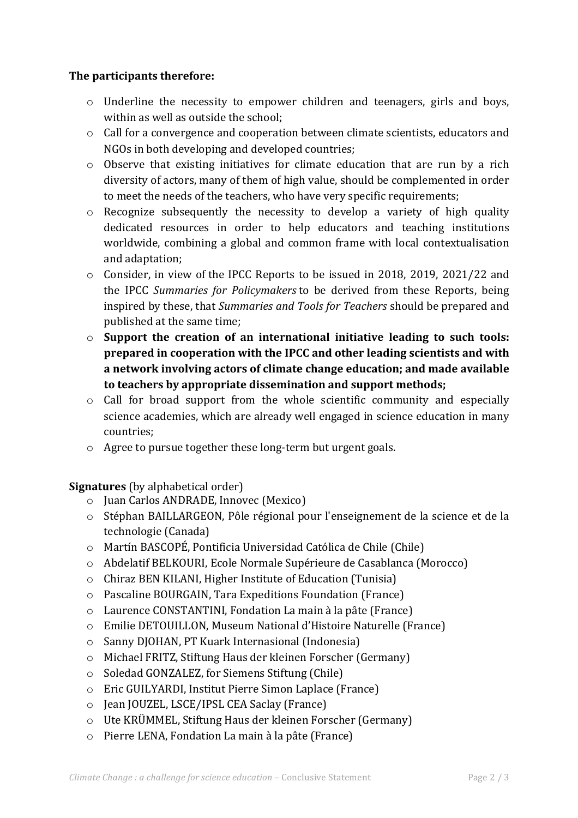### **The participants therefore:**

- o Underline the necessity to empower children and teenagers, girls and boys, within as well as outside the school;
- $\circ$  Call for a convergence and cooperation between climate scientists, educators and NGOs in both developing and developed countries;
- $\circ$  Observe that existing initiatives for climate education that are run by a rich diversity of actors, many of them of high value, should be complemented in order to meet the needs of the teachers, who have very specific requirements;
- $\circ$  Recognize subsequently the necessity to develop a variety of high quality dedicated resources in order to help educators and teaching institutions worldwide, combining a global and common frame with local contextualisation and adaptation;
- $\circ$  Consider, in view of the IPCC Reports to be issued in 2018, 2019, 2021/22 and the IPCC Summaries for Policymakers to be derived from these Reports, being inspired by these, that *Summaries and Tools for Teachers* should be prepared and published at the same time;
- $\circ$  Support the creation of an international initiative leading to such tools: **prepared in cooperation with the IPCC and other leading scientists and with** a network involving actors of climate change education; and made available to teachers by appropriate dissemination and support methods;
- $\circ$  Call for broad support from the whole scientific community and especially science academies, which are already well engaged in science education in many countries;
- $\circ$  Agree to pursue together these long-term but urgent goals.

**Signatures** (by alphabetical order)

- o Juan Carlos ANDRADE, Innovec (Mexico)
- $\circ$  Stéphan BAILLARGEON, Pôle régional pour l'enseignement de la science et de la technologie (Canada)
- $\circ$  Martín BASCOPÉ, Pontificia Universidad Católica de Chile (Chile)
- o Abdelatif BELKOURI, Ecole Normale Supérieure de Casablanca (Morocco)
- $\circ$  Chiraz BEN KILANI, Higher Institute of Education (Tunisia)
- $\circ$  Pascaline BOURGAIN, Tara Expeditions Foundation (France)
- $\circ$  Laurence CONSTANTINI, Fondation La main à la pâte (France)
- $\circ$  Emilie DETOUILLON, Museum National d'Histoire Naturelle (France)
- o Sanny DJOHAN, PT Kuark Internasional (Indonesia)
- $\circ$  Michael FRITZ, Stiftung Haus der kleinen Forscher (Germany)
- $\circ$  Soledad GONZALEZ, for Siemens Stiftung (Chile)
- $\circ$  Eric GUILYARDI, Institut Pierre Simon Laplace (France)
- o Jean JOUZEL, LSCE/IPSL CEA Saclay (France)
- $\circ$  Ute KRÜMMEL, Stiftung Haus der kleinen Forscher (Germany)
- $\circ$  Pierre LENA, Fondation La main à la pâte (France)